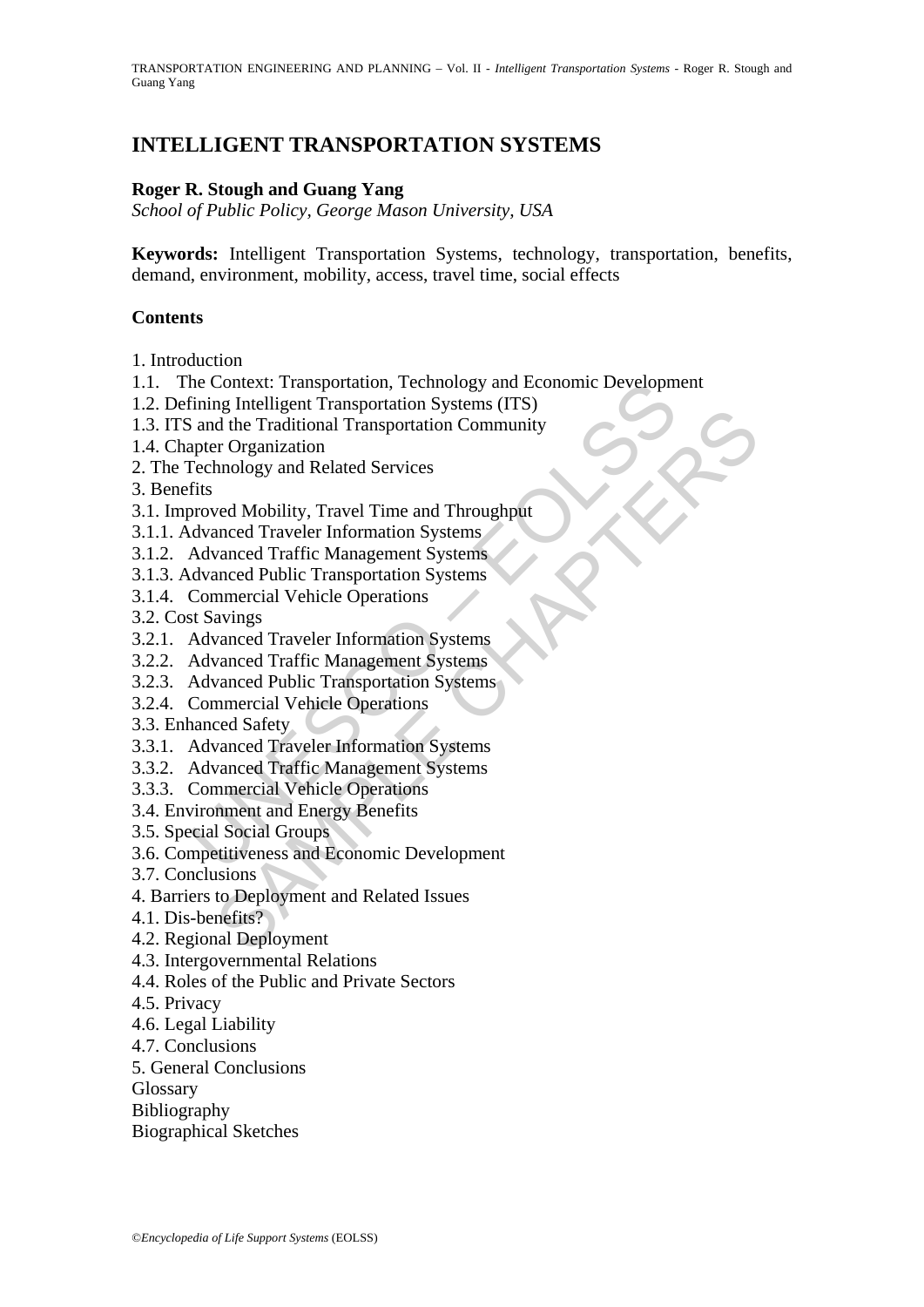# **INTELLIGENT TRANSPORTATION SYSTEMS**

#### **Roger R. Stough and Guang Yang**

*School of Public Policy, George Mason University, USA* 

**Keywords:** Intelligent Transportation Systems, technology, transportation, benefits, demand, environment, mobility, access, travel time, social effects

#### **Contents**

- 1. Introduction
- 1.1. The Context: Transportation, Technology and Economic Development
- Trining Intelligent Transportation, 1 echnology and Economic Developm<br>Trining Intelligent Transportation Systems (ITS)<br>
is and the Traditional Transportation Community<br>
Factor Community<br>
Fechnology and Related Services<br>
fi 1.2. Defining Intelligent Transportation Systems (ITS)
- ing intensity and Related Issues<br>and deliveral ransportation Community<br>of the Fraditional Transportation Community<br>reformanced Traveler Information Systems<br>and Mobility, Travel Time and Throughput<br>anced Traveler Informatio 1.3. ITS and the Traditional Transportation Community
- 1.4. Chapter Organization
- 2. The Technology and Related Services
- 3. Benefits
- 3.1. Improved Mobility, Travel Time and Throughput
- 3.1.1. Advanced Traveler Information Systems
- 3.1.2. Advanced Traffic Management Systems
- 3.1.3. Advanced Public Transportation Systems
- 3.1.4. Commercial Vehicle Operations
- 3.2. Cost Savings
- 3.2.1. Advanced Traveler Information Systems
- 3.2.2. Advanced Traffic Management Systems
- 3.2.3. Advanced Public Transportation Systems
- 3.2.4. Commercial Vehicle Operations
- 3.3. Enhanced Safety
- 3.3.1. Advanced Traveler Information Systems
- 3.3.2. Advanced Traffic Management Systems
- 3.3.3. Commercial Vehicle Operations
- 3.4. Environment and Energy Benefits
- 3.5. Special Social Groups
- 3.6. Competitiveness and Economic Development
- 3.7. Conclusions
- 4. Barriers to Deployment and Related Issues
- 4.1. Dis-benefits?
- 4.2. Regional Deployment
- 4.3. Intergovernmental Relations
- 4.4. Roles of the Public and Private Sectors
- 4.5. Privacy
- 4.6. Legal Liability
- 4.7. Conclusions
- 5. General Conclusions
- Glossary
- Bibliography
- Biographical Sketches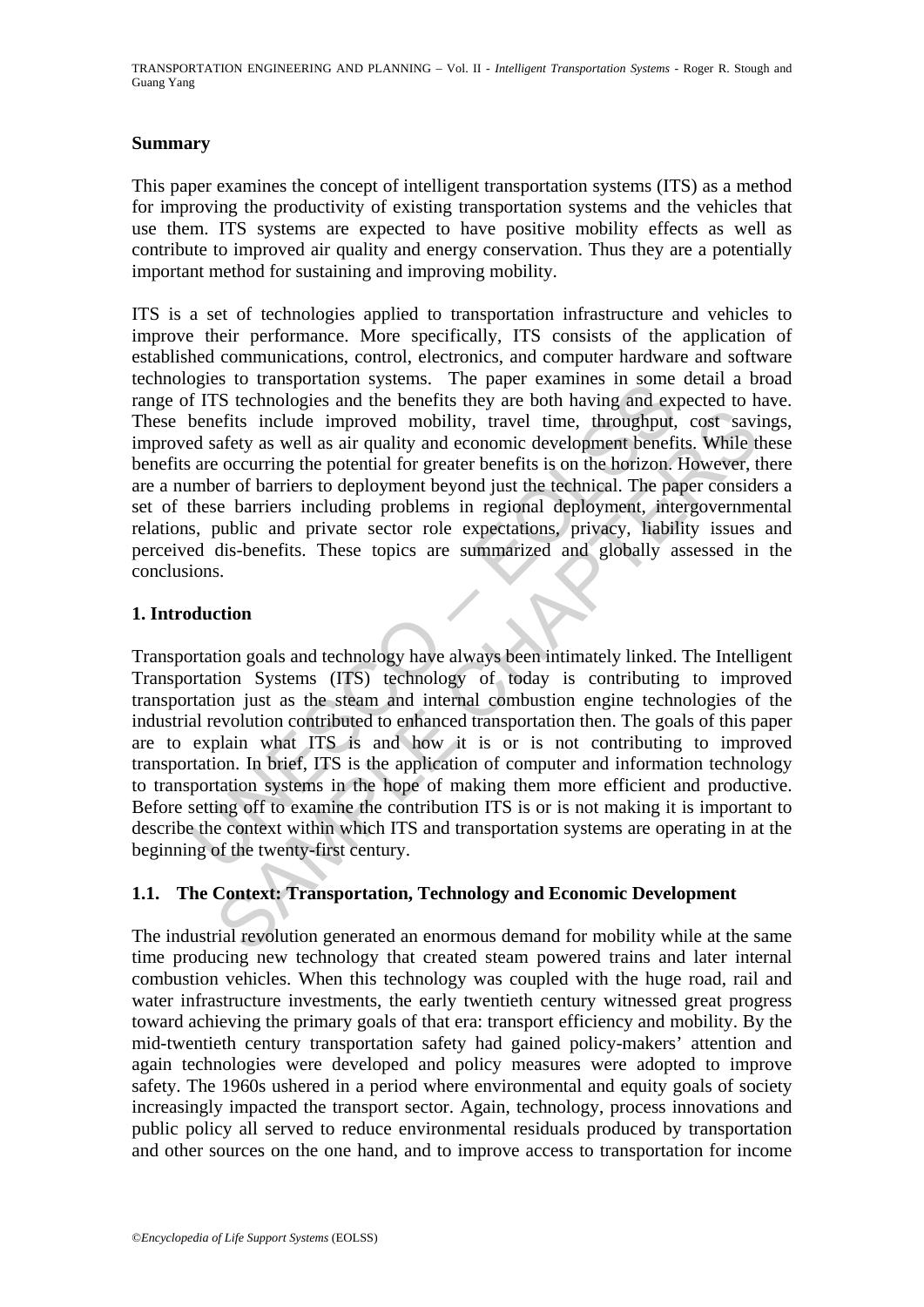#### **Summary**

This paper examines the concept of intelligent transportation systems (ITS) as a method for improving the productivity of existing transportation systems and the vehicles that use them. ITS systems are expected to have positive mobility effects as well as contribute to improved air quality and energy conservation. Thus they are a potentially important method for sustaining and improving mobility.

ITS is a set of technologies applied to transportation infrastructure and vehicles to improve their performance. More specifically, ITS consists of the application of established communications, control, electronics, and computer hardware and software technologies to transportation systems. The paper examines in some detail a broad range of ITS technologies and the benefits they are both having and expected to have. These benefits include improved mobility, travel time, throughput, cost savings, improved safety as well as air quality and economic development benefits. While these benefits are occurring the potential for greater benefits is on the horizon. However, there are a number of barriers to deployment beyond just the technical. The paper considers a set of these barriers including problems in regional deployment, intergovernmental relations, public and private sector role expectations, privacy, liability issues and perceived dis-benefits. These topics are summarized and globally assessed in the conclusions.

#### **1. Introduction**

So to tansportation systems. The paper examines in some<br>of ITS technologies and the benefits they are both having and exponentis include improved mobility, travel time, throughput,<br>de safety as well as air quality and econ eftis include improved mobility, travel time, throughput, cost saviatety as well as air quality and economic development benefits. While the occurring the potential for greater benefits is on the horizon. However, there is Transportation goals and technology have always been intimately linked. The Intelligent Transportation Systems (ITS) technology of today is contributing to improved transportation just as the steam and internal combustion engine technologies of the industrial revolution contributed to enhanced transportation then. The goals of this paper are to explain what ITS is and how it is or is not contributing to improved transportation. In brief, ITS is the application of computer and information technology to transportation systems in the hope of making them more efficient and productive. Before setting off to examine the contribution ITS is or is not making it is important to describe the context within which ITS and transportation systems are operating in at the beginning of the twenty-first century.

#### **1.1. The Context: Transportation, Technology and Economic Development**

The industrial revolution generated an enormous demand for mobility while at the same time producing new technology that created steam powered trains and later internal combustion vehicles. When this technology was coupled with the huge road, rail and water infrastructure investments, the early twentieth century witnessed great progress toward achieving the primary goals of that era: transport efficiency and mobility. By the mid-twentieth century transportation safety had gained policy-makers' attention and again technologies were developed and policy measures were adopted to improve safety. The 1960s ushered in a period where environmental and equity goals of society increasingly impacted the transport sector. Again, technology, process innovations and public policy all served to reduce environmental residuals produced by transportation and other sources on the one hand, and to improve access to transportation for income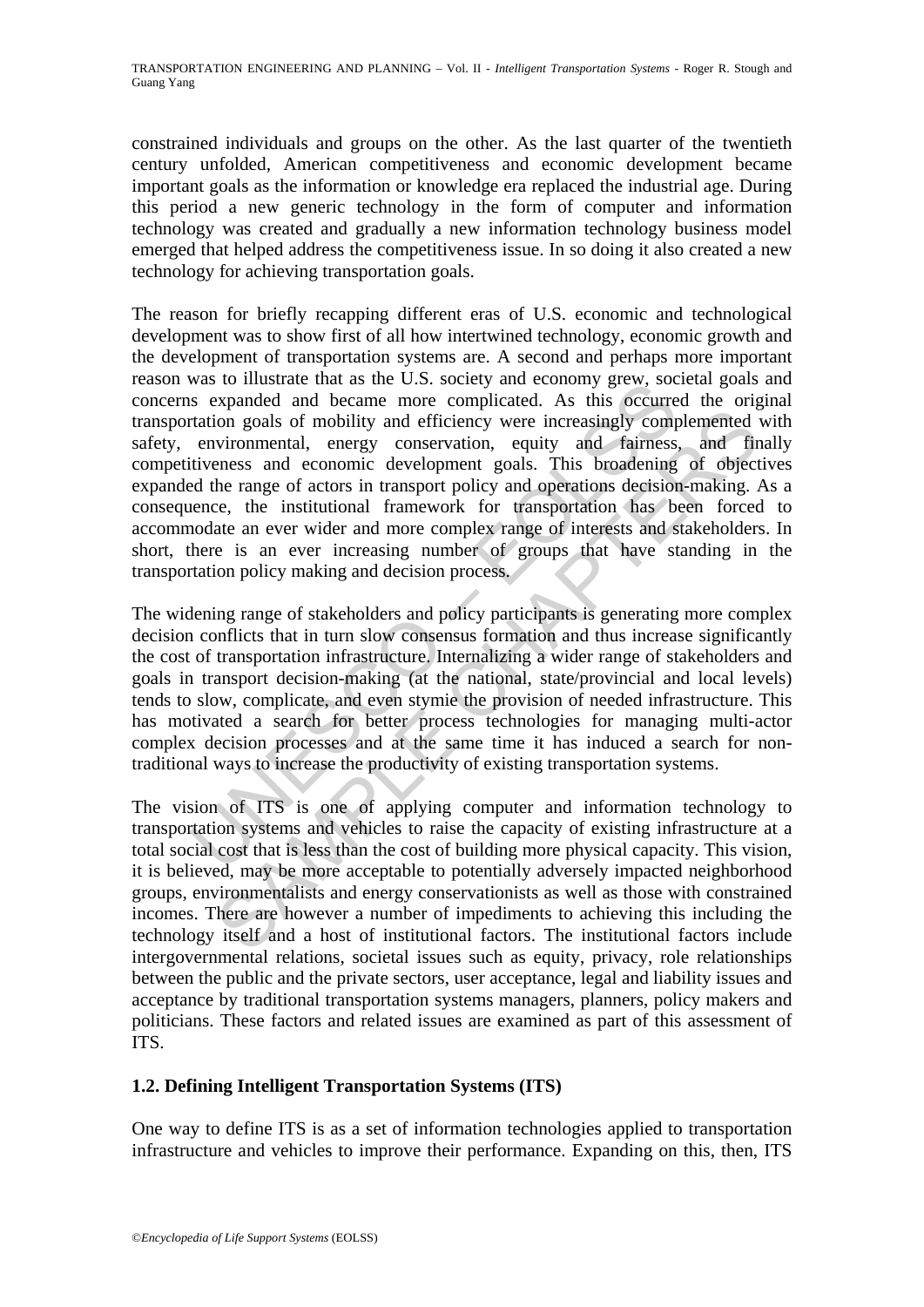constrained individuals and groups on the other. As the last quarter of the twentieth century unfolded, American competitiveness and economic development became important goals as the information or knowledge era replaced the industrial age. During this period a new generic technology in the form of computer and information technology was created and gradually a new information technology business model emerged that helped address the competitiveness issue. In so doing it also created a new technology for achieving transportation goals.

was to mustake that as the C.S. Society and economy gew, so<br>as expanded and became more complicated. As this occurre<br>rataion goals of mobility and efficiency were increasingly compressive<br>tration goals of mobility and effi ion goals of mobility and efficiency were increasingly complemented vironmental, energy conservation, equity and fairness, and firmes and economic development goals. This broadening of objects the range of actors in transp The reason for briefly recapping different eras of U.S. economic and technological development was to show first of all how intertwined technology, economic growth and the development of transportation systems are. A second and perhaps more important reason was to illustrate that as the U.S. society and economy grew, societal goals and concerns expanded and became more complicated. As this occurred the original transportation goals of mobility and efficiency were increasingly complemented with safety, environmental, energy conservation, equity and fairness, and finally competitiveness and economic development goals. This broadening of objectives expanded the range of actors in transport policy and operations decision-making. As a consequence, the institutional framework for transportation has been forced to accommodate an ever wider and more complex range of interests and stakeholders. In short, there is an ever increasing number of groups that have standing in the transportation policy making and decision process.

The widening range of stakeholders and policy participants is generating more complex decision conflicts that in turn slow consensus formation and thus increase significantly the cost of transportation infrastructure. Internalizing a wider range of stakeholders and goals in transport decision-making (at the national, state/provincial and local levels) tends to slow, complicate, and even stymie the provision of needed infrastructure. This has motivated a search for better process technologies for managing multi-actor complex decision processes and at the same time it has induced a search for nontraditional ways to increase the productivity of existing transportation systems.

The vision of ITS is one of applying computer and information technology to transportation systems and vehicles to raise the capacity of existing infrastructure at a total social cost that is less than the cost of building more physical capacity. This vision, it is believed, may be more acceptable to potentially adversely impacted neighborhood groups, environmentalists and energy conservationists as well as those with constrained incomes. There are however a number of impediments to achieving this including the technology itself and a host of institutional factors. The institutional factors include intergovernmental relations, societal issues such as equity, privacy, role relationships between the public and the private sectors, user acceptance, legal and liability issues and acceptance by traditional transportation systems managers, planners, policy makers and politicians. These factors and related issues are examined as part of this assessment of ITS.

# **1.2. Defining Intelligent Transportation Systems (ITS)**

One way to define ITS is as a set of information technologies applied to transportation infrastructure and vehicles to improve their performance. Expanding on this, then, ITS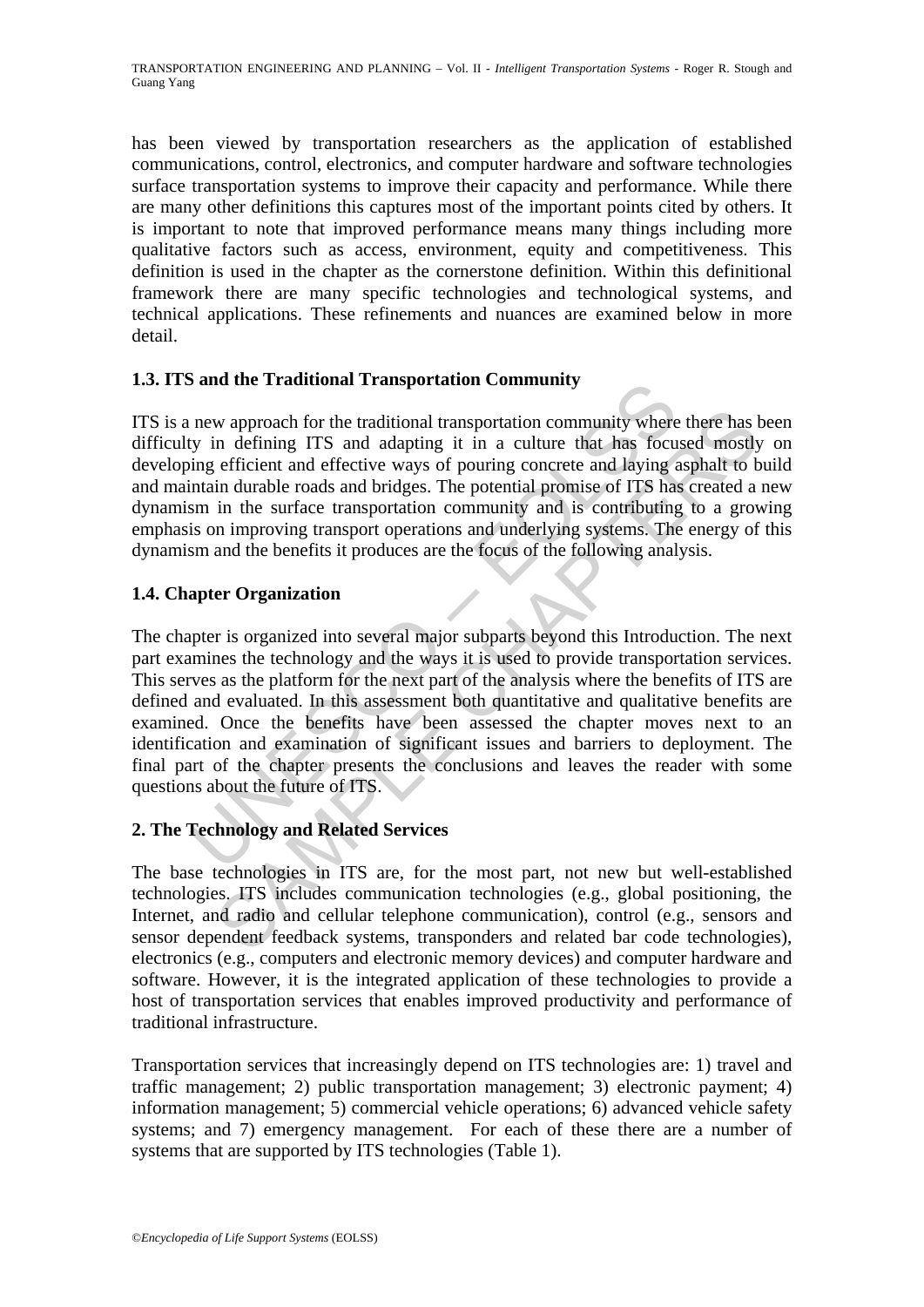has been viewed by transportation researchers as the application of established communications, control, electronics, and computer hardware and software technologies surface transportation systems to improve their capacity and performance. While there are many other definitions this captures most of the important points cited by others. It is important to note that improved performance means many things including more qualitative factors such as access, environment, equity and competitiveness. This definition is used in the chapter as the cornerstone definition. Within this definitional framework there are many specific technologies and technological systems, and technical applications. These refinements and nuances are examined below in more detail.

# **1.3. ITS and the Traditional Transportation Community**

ITS is a new approach for the traditional transportation community where there has been difficulty in defining ITS and adapting it in a culture that has focused mostly on developing efficient and effective ways of pouring concrete and laying asphalt to build and maintain durable roads and bridges. The potential promise of ITS has created a new dynamism in the surface transportation community and is contributing to a growing emphasis on improving transport operations and underlying systems. The energy of this dynamism and the benefits it produces are the focus of the following analysis.

# **1.4. Chapter Organization**

**Saltion Community**<br>
new approach for the traditional transportation community<br>
they in defining ITS and adapting it in a culture that has focus<br>
ing efficient and effective ways of pouring concrete and laying<br>
sm in the s w approach for the traditional transportation community where there has in defining ITS and adapting it in a culture that has focused mostly efficient and effective ways of pouring concrete and larging apphalt to be in the The chapter is organized into several major subparts beyond this Introduction. The next part examines the technology and the ways it is used to provide transportation services. This serves as the platform for the next part of the analysis where the benefits of ITS are defined and evaluated. In this assessment both quantitative and qualitative benefits are examined. Once the benefits have been assessed the chapter moves next to an identification and examination of significant issues and barriers to deployment. The final part of the chapter presents the conclusions and leaves the reader with some questions about the future of ITS.

#### **2. The Technology and Related Services**

The base technologies in ITS are, for the most part, not new but well-established technologies. ITS includes communication technologies (e.g., global positioning, the Internet, and radio and cellular telephone communication), control (e.g., sensors and sensor dependent feedback systems, transponders and related bar code technologies), electronics (e.g., computers and electronic memory devices) and computer hardware and software. However, it is the integrated application of these technologies to provide a host of transportation services that enables improved productivity and performance of traditional infrastructure.

Transportation services that increasingly depend on ITS technologies are: 1) travel and traffic management; 2) public transportation management; 3) electronic payment; 4) information management; 5) commercial vehicle operations; 6) advanced vehicle safety systems; and 7) emergency management. For each of these there are a number of systems that are supported by ITS technologies (Table 1).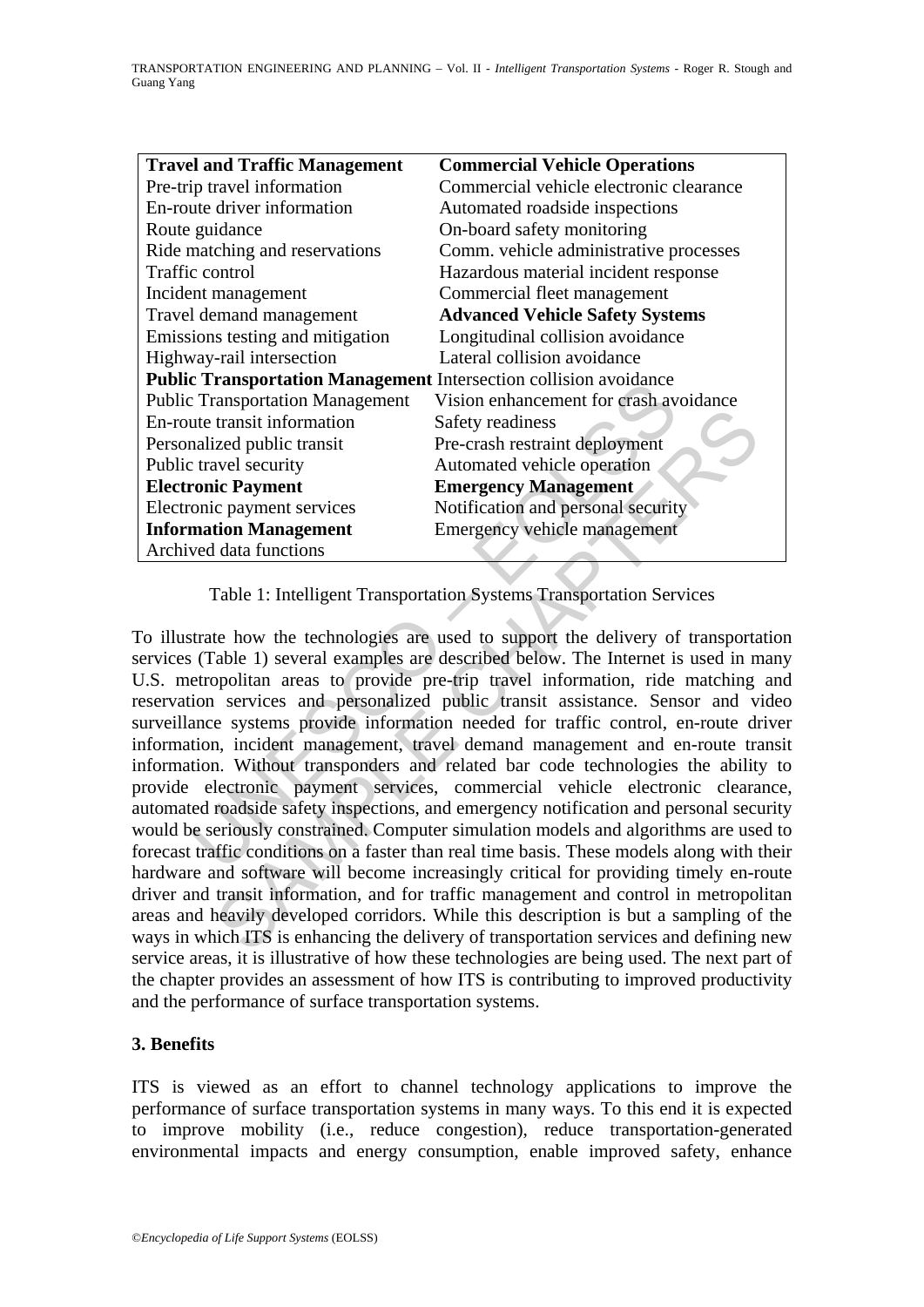| <b>Travel and Traffic Management</b>                                     | <b>Commercial Vehicle Operations</b>    |
|--------------------------------------------------------------------------|-----------------------------------------|
| Pre-trip travel information                                              | Commercial vehicle electronic clearance |
| En-route driver information                                              | Automated roadside inspections          |
| Route guidance                                                           | On-board safety monitoring              |
| Ride matching and reservations                                           | Comm. vehicle administrative processes  |
| <b>Traffic control</b>                                                   | Hazardous material incident response    |
| Incident management                                                      | Commercial fleet management             |
| Travel demand management                                                 | <b>Advanced Vehicle Safety Systems</b>  |
| Emissions testing and mitigation                                         | Longitudinal collision avoidance        |
| Highway-rail intersection                                                | Lateral collision avoidance             |
| <b>Public Transportation Management Intersection collision avoidance</b> |                                         |
| <b>Public Transportation Management</b>                                  | Vision enhancement for crash avoidance  |
| En-route transit information                                             | Safety readiness                        |
| Personalized public transit                                              | Pre-crash restraint deployment          |
| Public travel security                                                   | Automated vehicle operation             |
| <b>Electronic Payment</b>                                                | <b>Emergency Management</b>             |
| Electronic payment services                                              | Notification and personal security      |
| <b>Information Management</b>                                            | Emergency vehicle management            |
| Archived data functions                                                  |                                         |

Table 1: Intelligent Transportation Systems Transportation Services

**EXERCITE:**<br> **EXERCITE:**<br> **EXERCITE:**<br> **EXERCITE:**<br> **EXERCITE:**<br> **EXERCITE:**<br> **EXERCITED:**<br> **EXECUTE:**<br> **EXECUTE:**<br> **EXECUTE:**<br> **EXECUTE:**<br> **EXECUTE:**<br> **EXECUTE:**<br> **EXECUTE:**<br> **EXECUTE:**<br> **EXECUTE:**<br> **EXECUTE:**<br> **EXECUTE:** Example the main term of states and the states and terminal terminal terminal counting<br>
Internal county<br>
Safety readiness<br>
internal and the mergeney Management<br>
Section Management<br>
Constraint and personal security<br>
Notific To illustrate how the technologies are used to support the delivery of transportation services (Table 1) several examples are described below. The Internet is used in many U.S. metropolitan areas to provide pre-trip travel information, ride matching and reservation services and personalized public transit assistance. Sensor and video surveillance systems provide information needed for traffic control, en-route driver information, incident management, travel demand management and en-route transit information. Without transponders and related bar code technologies the ability to provide electronic payment services, commercial vehicle electronic clearance, automated roadside safety inspections, and emergency notification and personal security would be seriously constrained. Computer simulation models and algorithms are used to forecast traffic conditions on a faster than real time basis. These models along with their hardware and software will become increasingly critical for providing timely en-route driver and transit information, and for traffic management and control in metropolitan areas and heavily developed corridors. While this description is but a sampling of the ways in which ITS is enhancing the delivery of transportation services and defining new service areas, it is illustrative of how these technologies are being used. The next part of the chapter provides an assessment of how ITS is contributing to improved productivity and the performance of surface transportation systems.

# **3. Benefits**

ITS is viewed as an effort to channel technology applications to improve the performance of surface transportation systems in many ways. To this end it is expected to improve mobility (i.e., reduce congestion), reduce transportation-generated environmental impacts and energy consumption, enable improved safety, enhance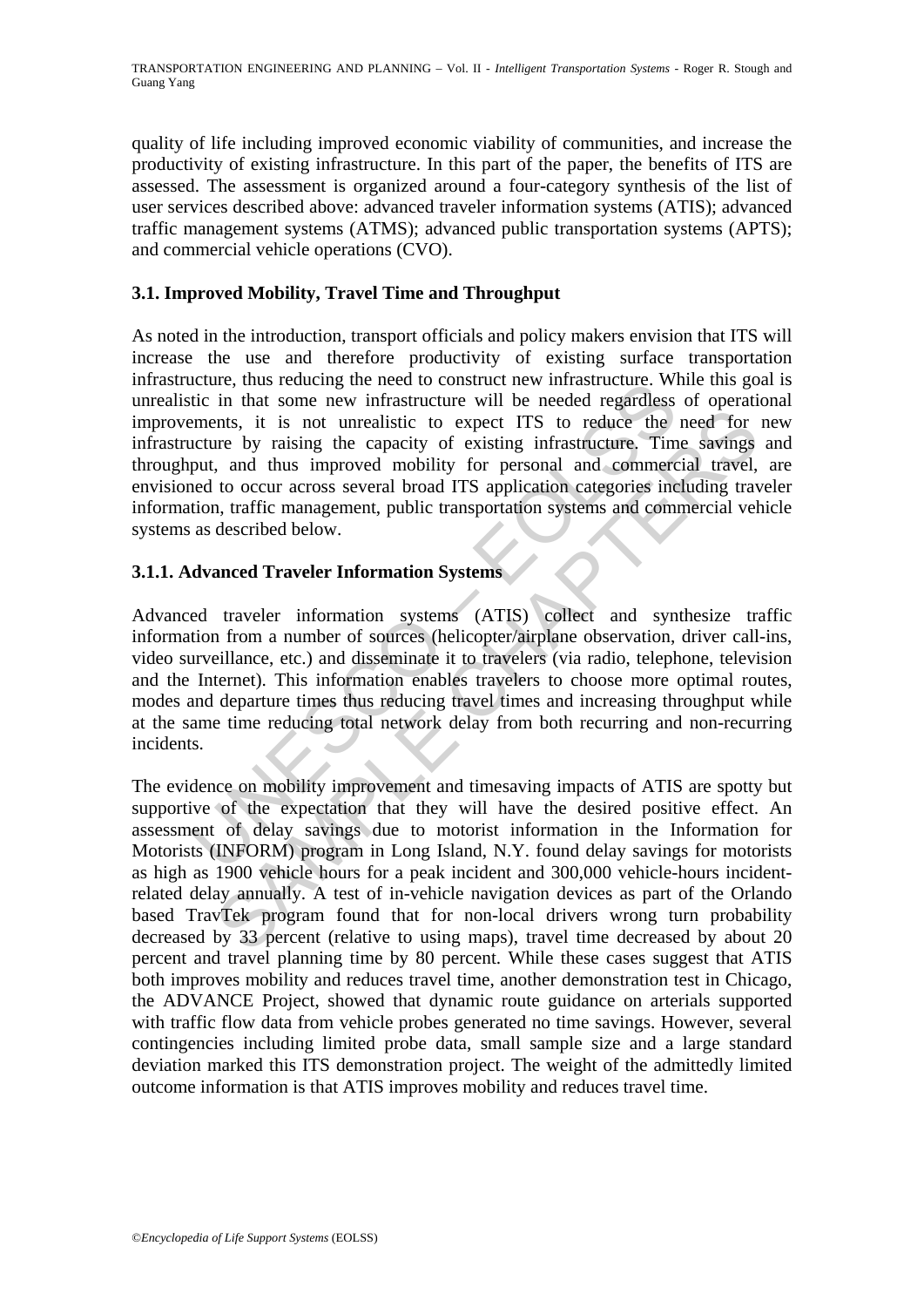quality of life including improved economic viability of communities, and increase the productivity of existing infrastructure. In this part of the paper, the benefits of ITS are assessed. The assessment is organized around a four-category synthesis of the list of user services described above: advanced traveler information systems (ATIS); advanced traffic management systems (ATMS); advanced public transportation systems (APTS); and commercial vehicle operations (CVO).

# **3.1. Improved Mobility, Travel Time and Throughput**

Exercise that some new infrastructure will be needed regardless<br>titic in that some new infrastructure will be needed regardless<br>terments, it is not unrealistic to expect ITS to reduce the<br>neutre by raising the capacity of As noted in the introduction, transport officials and policy makers envision that ITS will increase the use and therefore productivity of existing surface transportation infrastructure, thus reducing the need to construct new infrastructure. While this goal is unrealistic in that some new infrastructure will be needed regardless of operational improvements, it is not unrealistic to expect ITS to reduce the need for new infrastructure by raising the capacity of existing infrastructure. Time savings and throughput, and thus improved mobility for personal and commercial travel, are envisioned to occur across several broad ITS application categories including traveler information, traffic management, public transportation systems and commercial vehicle systems as described below.

### **3.1.1. Advanced Traveler Information Systems**

Advanced traveler information systems (ATIS) collect and synthesize traffic information from a number of sources (helicopter/airplane observation, driver call-ins, video surveillance, etc.) and disseminate it to travelers (via radio, telephone, television and the Internet). This information enables travelers to choose more optimal routes, modes and departure times thus reducing travel times and increasing throughput while at the same time reducing total network delay from both recurring and non-recurring incidents.

metrom and thus that they will have the desired positive of the capture of the variable of the captive of the mediatric to expect ITS to reduce the need for<br>the by raising the capacity of existing infrastructure. Time savi The evidence on mobility improvement and timesaving impacts of ATIS are spotty but supportive of the expectation that they will have the desired positive effect. An assessment of delay savings due to motorist information in the Information for Motorists (INFORM) program in Long Island, N.Y. found delay savings for motorists as high as 1900 vehicle hours for a peak incident and 300,000 vehicle-hours incidentrelated delay annually. A test of in-vehicle navigation devices as part of the Orlando based TravTek program found that for non-local drivers wrong turn probability decreased by 33 percent (relative to using maps), travel time decreased by about 20 percent and travel planning time by 80 percent. While these cases suggest that ATIS both improves mobility and reduces travel time, another demonstration test in Chicago, the ADVANCE Project, showed that dynamic route guidance on arterials supported with traffic flow data from vehicle probes generated no time savings. However, several contingencies including limited probe data, small sample size and a large standard deviation marked this ITS demonstration project. The weight of the admittedly limited outcome information is that ATIS improves mobility and reduces travel time.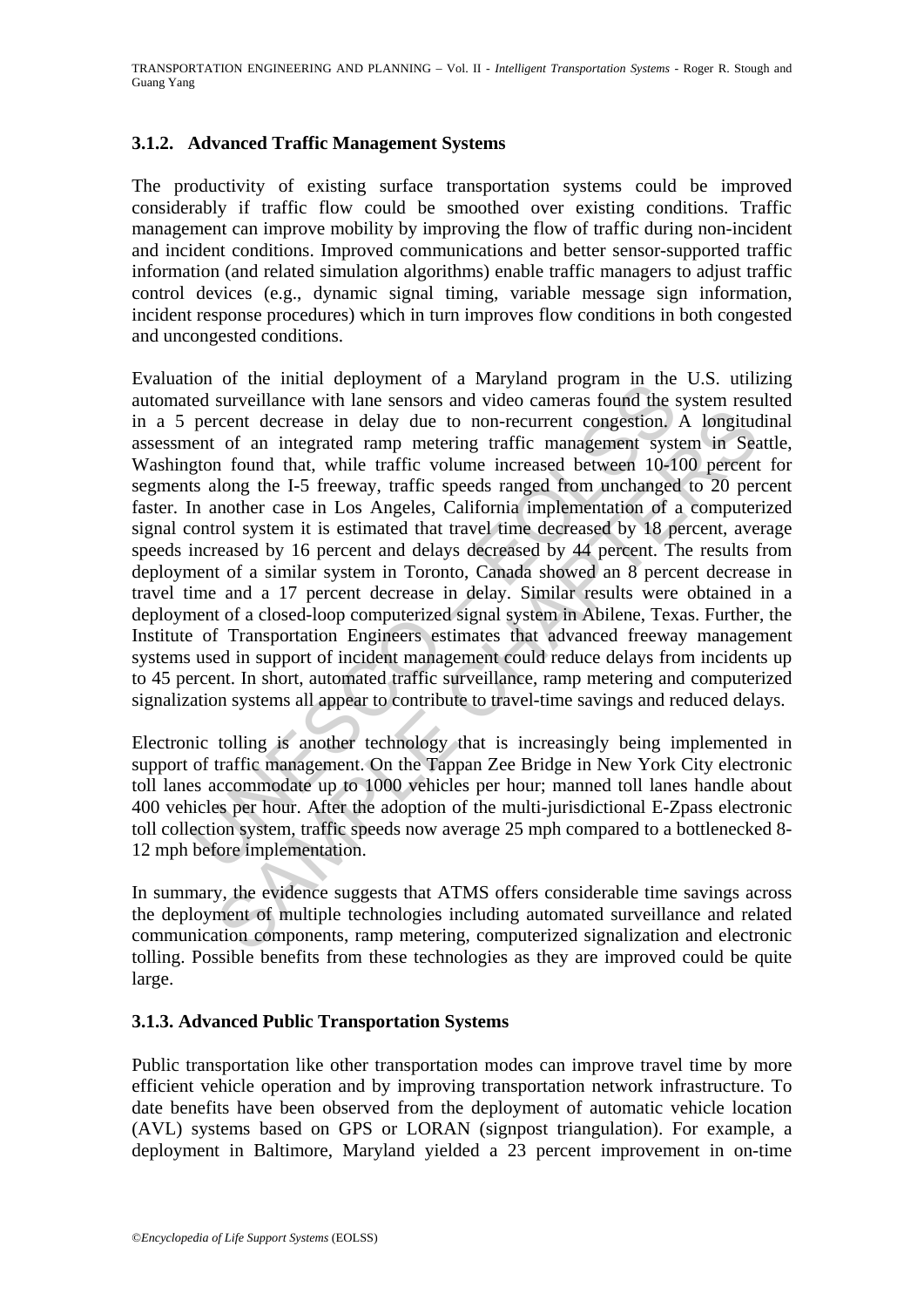# **3.1.2. Advanced Traffic Management Systems**

The productivity of existing surface transportation systems could be improved considerably if traffic flow could be smoothed over existing conditions. Traffic management can improve mobility by improving the flow of traffic during non-incident and incident conditions. Improved communications and better sensor-supported traffic information (and related simulation algorithms) enable traffic managers to adjust traffic control devices (e.g., dynamic signal timing, variable message sign information, incident response procedures) which in turn improves flow conditions in both congested and uncongested conditions.

not of the finant depoyment of a wayland program in the<br>eled surveillance with lane sensors and video cameras found the percent decrease in delay due to non-recurrent congestion,<br>ent of an integrated ramp metering traffic recent decrease in delay due to non-recurrent congestion. A longitud of an integrated ramp metering traffic management system in Sea of an integrated ramp metering traffic management system in Sea ollong the 1-5 freeway, t Evaluation of the initial deployment of a Maryland program in the U.S. utilizing automated surveillance with lane sensors and video cameras found the system resulted in a 5 percent decrease in delay due to non-recurrent congestion. A longitudinal assessment of an integrated ramp metering traffic management system in Seattle, Washington found that, while traffic volume increased between 10-100 percent for segments along the I-5 freeway, traffic speeds ranged from unchanged to 20 percent faster. In another case in Los Angeles, California implementation of a computerized signal control system it is estimated that travel time decreased by 18 percent, average speeds increased by 16 percent and delays decreased by 44 percent. The results from deployment of a similar system in Toronto, Canada showed an 8 percent decrease in travel time and a 17 percent decrease in delay. Similar results were obtained in a deployment of a closed-loop computerized signal system in Abilene, Texas. Further, the Institute of Transportation Engineers estimates that advanced freeway management systems used in support of incident management could reduce delays from incidents up to 45 percent. In short, automated traffic surveillance, ramp metering and computerized signalization systems all appear to contribute to travel-time savings and reduced delays.

Electronic tolling is another technology that is increasingly being implemented in support of traffic management. On the Tappan Zee Bridge in New York City electronic toll lanes accommodate up to 1000 vehicles per hour; manned toll lanes handle about 400 vehicles per hour. After the adoption of the multi-jurisdictional E-Zpass electronic toll collection system, traffic speeds now average 25 mph compared to a bottlenecked 8- 12 mph before implementation.

In summary, the evidence suggests that ATMS offers considerable time savings across the deployment of multiple technologies including automated surveillance and related communication components, ramp metering, computerized signalization and electronic tolling. Possible benefits from these technologies as they are improved could be quite large.

#### **3.1.3. Advanced Public Transportation Systems**

Public transportation like other transportation modes can improve travel time by more efficient vehicle operation and by improving transportation network infrastructure. To date benefits have been observed from the deployment of automatic vehicle location (AVL) systems based on GPS or LORAN (signpost triangulation). For example, a deployment in Baltimore, Maryland yielded a 23 percent improvement in on-time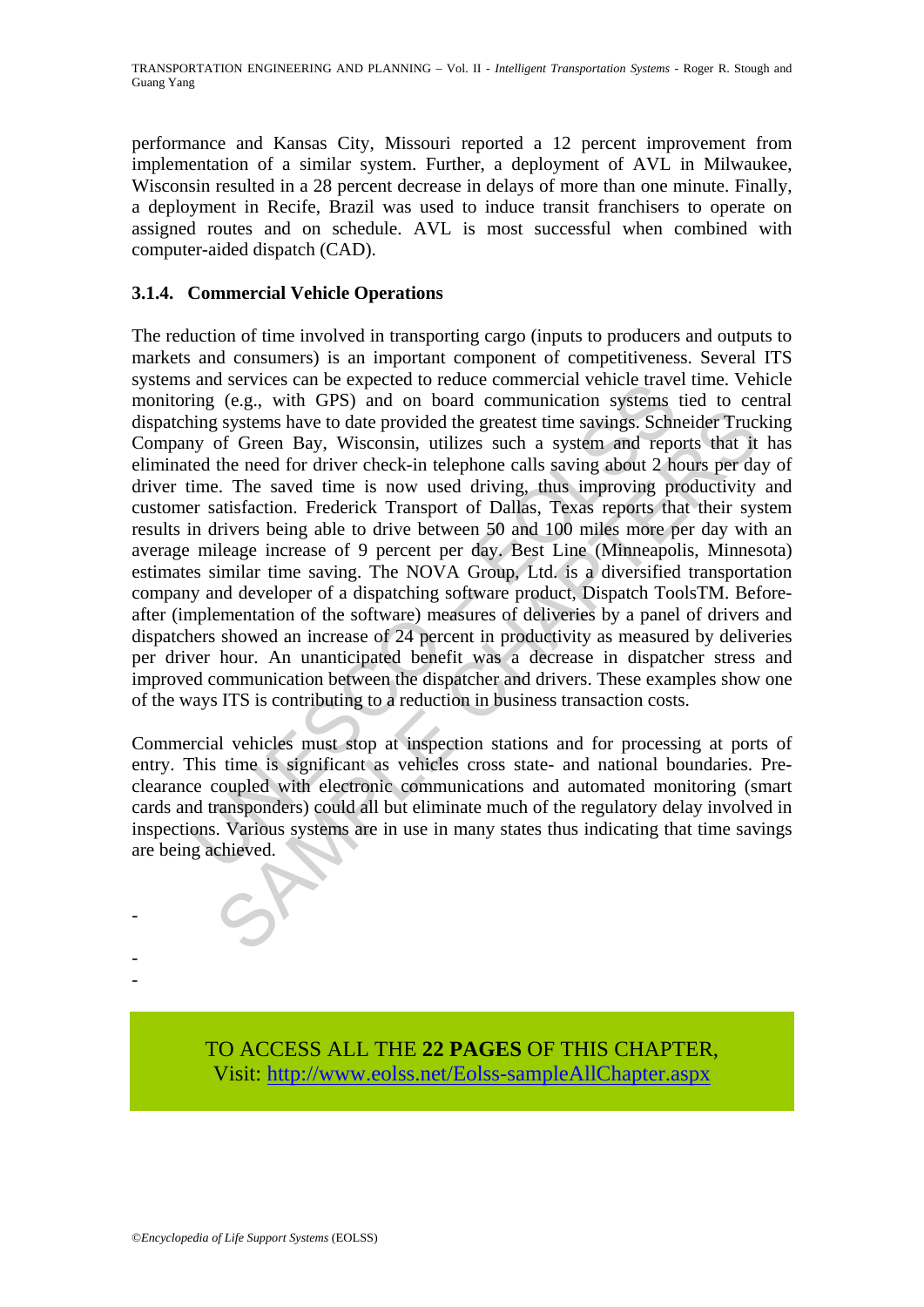performance and Kansas City, Missouri reported a 12 percent improvement from implementation of a similar system. Further, a deployment of AVL in Milwaukee, Wisconsin resulted in a 28 percent decrease in delays of more than one minute. Finally, a deployment in Recife, Brazil was used to induce transit franchisers to operate on assigned routes and on schedule. AVL is most successful when combined with computer-aided dispatch (CAD).

# **3.1.4. Commercial Vehicle Operations**

and services can be expected to leadure continect and energing (e.g., with GPS) and on board communication systems<br>ing (e.g., with GPS) and on board communication systems shing systems have to date provided the greatest ti From Outer the need for threats and reporting the systems have to date provided the greatest time sayings. Schmeider Trucing Conference and the need for driver check-in elephone calls axing about 2 hours per day. The saved The reduction of time involved in transporting cargo (inputs to producers and outputs to markets and consumers) is an important component of competitiveness. Several ITS systems and services can be expected to reduce commercial vehicle travel time. Vehicle monitoring (e.g., with GPS) and on board communication systems tied to central dispatching systems have to date provided the greatest time savings. Schneider Trucking Company of Green Bay, Wisconsin, utilizes such a system and reports that it has eliminated the need for driver check-in telephone calls saving about 2 hours per day of driver time. The saved time is now used driving, thus improving productivity and customer satisfaction. Frederick Transport of Dallas, Texas reports that their system results in drivers being able to drive between 50 and 100 miles more per day with an average mileage increase of 9 percent per day. Best Line (Minneapolis, Minnesota) estimates similar time saving. The NOVA Group, Ltd. is a diversified transportation company and developer of a dispatching software product, Dispatch ToolsTM. Beforeafter (implementation of the software) measures of deliveries by a panel of drivers and dispatchers showed an increase of 24 percent in productivity as measured by deliveries per driver hour. An unanticipated benefit was a decrease in dispatcher stress and improved communication between the dispatcher and drivers. These examples show one of the ways ITS is contributing to a reduction in business transaction costs.

Commercial vehicles must stop at inspection stations and for processing at ports of entry. This time is significant as vehicles cross state- and national boundaries. Preclearance coupled with electronic communications and automated monitoring (smart cards and transponders) could all but eliminate much of the regulatory delay involved in inspections. Various systems are in use in many states thus indicating that time savings are being achieved.

> TO ACCESS ALL THE **22 PAGES** OF THIS CHAPTER, Visit[: http://www.eolss.net/Eolss-sampleAllChapter.aspx](https://www.eolss.net/ebooklib/sc_cart.aspx?File=E6-40-03-04)

-

- -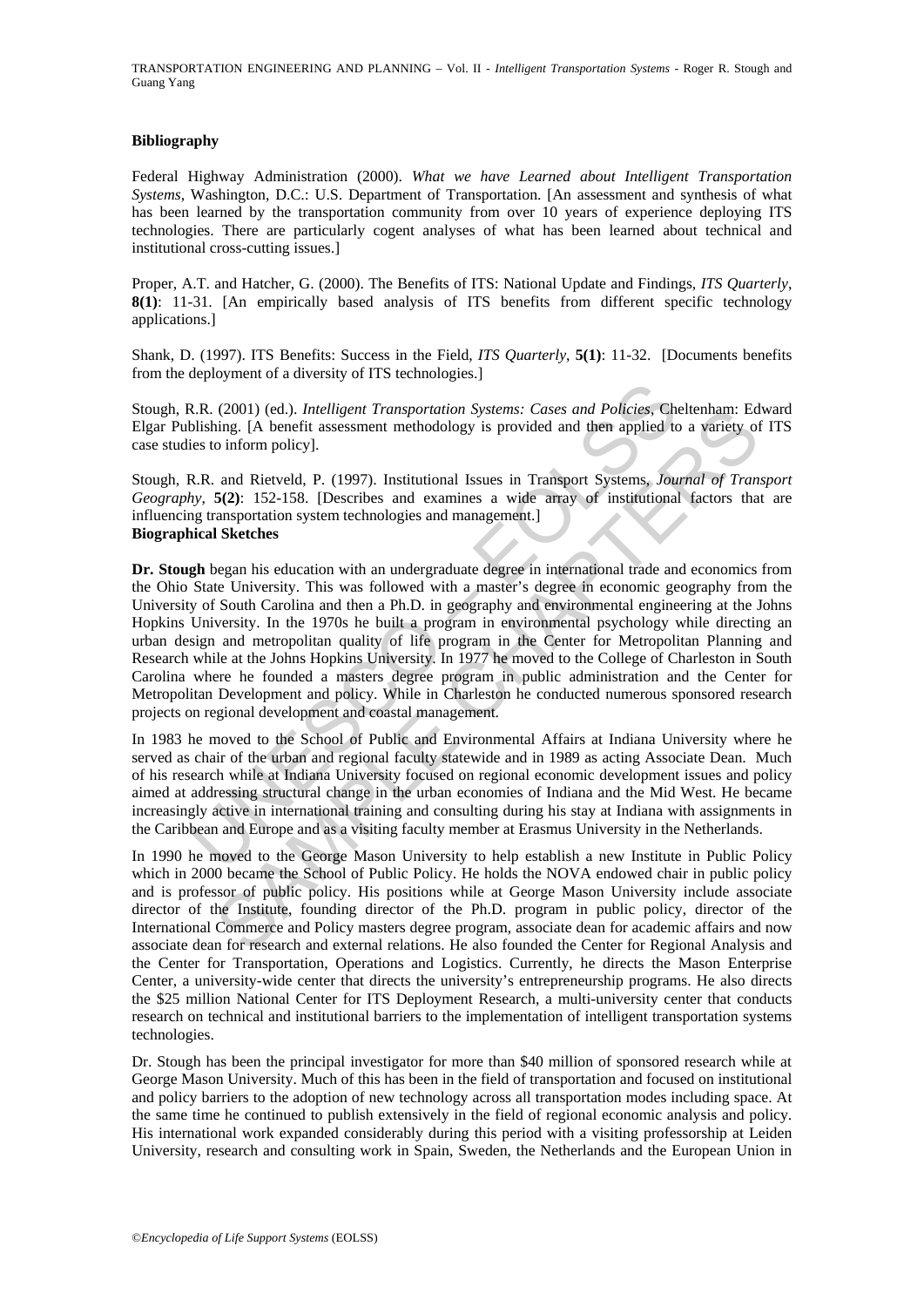TRANSPORTATION ENGINEERING AND PLANNING – Vol. II - *Intelligent Transportation Systems* - Roger R. Stough and Guang Yang

#### **Bibliography**

Federal Highway Administration (2000). *What we have Learned about Intelligent Transportation Systems*, Washington, D.C.: U.S. Department of Transportation. [An assessment and synthesis of what has been learned by the transportation community from over 10 years of experience deploying ITS technologies. There are particularly cogent analyses of what has been learned about technical and institutional cross-cutting issues.]

Proper, A.T. and Hatcher, G. (2000). The Benefits of ITS: National Update and Findings, *ITS Quarterly*, **8(1)**: 11-31. [An empirically based analysis of ITS benefits from different specific technology applications.]

Shank, D. (1997). ITS Benefits: Success in the Field, *ITS Quarterly*, **5(1)**: 11-32. [Documents benefits from the deployment of a diversity of ITS technologies.]

Stough, R.R. (2001) (ed.). *Intelligent Transportation Systems: Cases and Policies*, Cheltenham: Edward Elgar Publishing. [A benefit assessment methodology is provided and then applied to a variety of ITS case studies to inform policy].

Stough, R.R. and Rietveld, P. (1997). Institutional Issues in Transport Systems, *Journal of Transport Geography*, **5(2)**: 152-158. [Describes and examines a wide array of institutional factors that are influencing transportation system technologies and management.] **Biographical Sketches** 

R. R. (2001) (ed.). *Intelligent Transportation Systems: Cases and Policies*, Chelishing. [A benefit assessment methodology is provided and then applied teles to inform policy].<br>
R.R. and Rietveld, P. (1997). Institutional (2001) (ed.), *Intelligent I Transportation Systems:* Cases and Policeis, Chellinhan: Ed.<br>
2001) (ed.), *Intelligent I Transportation Systems*: Cases and Policeis, Chellenton inform policy of Different assessment methodolo **Dr. Stough** began his education with an undergraduate degree in international trade and economics from the Ohio State University. This was followed with a master's degree in economic geography from the University of South Carolina and then a Ph.D. in geography and environmental engineering at the Johns Hopkins University. In the 1970s he built a program in environmental psychology while directing an urban design and metropolitan quality of life program in the Center for Metropolitan Planning and Research while at the Johns Hopkins University. In 1977 he moved to the College of Charleston in South Carolina where he founded a masters degree program in public administration and the Center for Metropolitan Development and policy. While in Charleston he conducted numerous sponsored research projects on regional development and coastal management.

In 1983 he moved to the School of Public and Environmental Affairs at Indiana University where he served as chair of the urban and regional faculty statewide and in 1989 as acting Associate Dean. Much of his research while at Indiana University focused on regional economic development issues and policy aimed at addressing structural change in the urban economies of Indiana and the Mid West. He became increasingly active in international training and consulting during his stay at Indiana with assignments in the Caribbean and Europe and as a visiting faculty member at Erasmus University in the Netherlands.

In 1990 he moved to the George Mason University to help establish a new Institute in Public Policy which in 2000 became the School of Public Policy. He holds the NOVA endowed chair in public policy and is professor of public policy. His positions while at George Mason University include associate director of the Institute, founding director of the Ph.D. program in public policy, director of the International Commerce and Policy masters degree program, associate dean for academic affairs and now associate dean for research and external relations. He also founded the Center for Regional Analysis and the Center for Transportation, Operations and Logistics. Currently, he directs the Mason Enterprise Center, a university-wide center that directs the university's entrepreneurship programs. He also directs the \$25 million National Center for ITS Deployment Research, a multi-university center that conducts research on technical and institutional barriers to the implementation of intelligent transportation systems technologies.

Dr. Stough has been the principal investigator for more than \$40 million of sponsored research while at George Mason University. Much of this has been in the field of transportation and focused on institutional and policy barriers to the adoption of new technology across all transportation modes including space. At the same time he continued to publish extensively in the field of regional economic analysis and policy. His international work expanded considerably during this period with a visiting professorship at Leiden University, research and consulting work in Spain, Sweden, the Netherlands and the European Union in